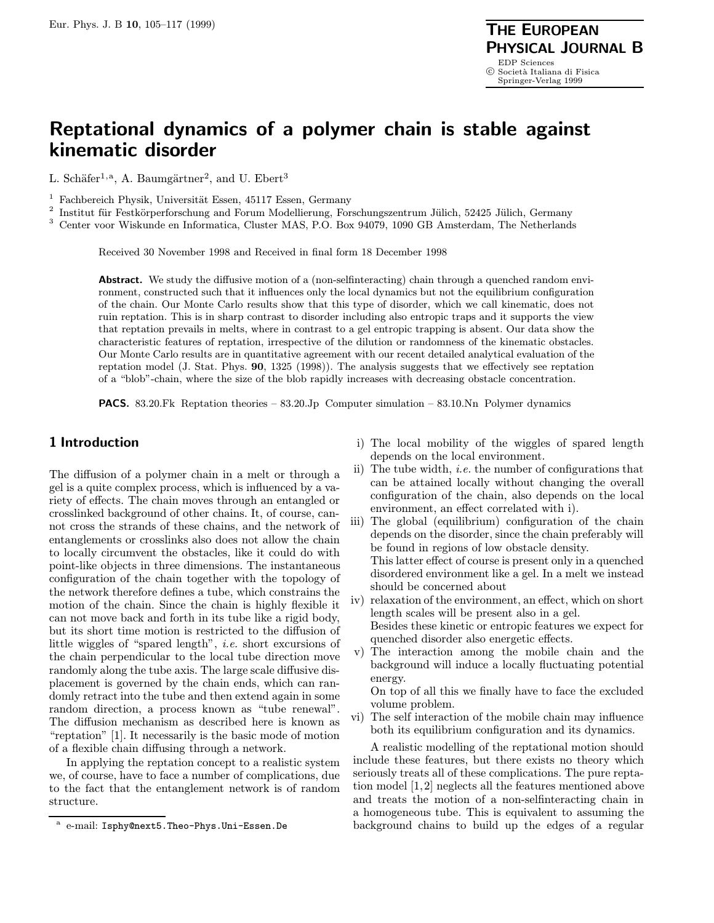# Reptational dynamics of a polymer chain is stable against kinematic disorder

L. Schäfer<sup>1,a</sup>, A. Baumgärtner<sup>2</sup>, and U. Ebert<sup>3</sup>

 $1$  Fachbereich Physik, Universität Essen, 45117 Essen, Germany

 $^{2}$  Institut für Festkörperforschung and Forum Modellierung, Forschungszentrum Jülich, 52425 Jülich, Germany

<sup>3</sup> Center voor Wiskunde en Informatica, Cluster MAS, P.O. Box 94079, 1090 GB Amsterdam, The Netherlands

Received 30 November 1998 and Received in final form 18 December 1998

Abstract. We study the diffusive motion of a (non-selfinteracting) chain through a quenched random environment, constructed such that it influences only the local dynamics but not the equilibrium configuration of the chain. Our Monte Carlo results show that this type of disorder, which we call kinematic, does not ruin reptation. This is in sharp contrast to disorder including also entropic traps and it supports the view that reptation prevails in melts, where in contrast to a gel entropic trapping is absent. Our data show the characteristic features of reptation, irrespective of the dilution or randomness of the kinematic obstacles. Our Monte Carlo results are in quantitative agreement with our recent detailed analytical evaluation of the reptation model (J. Stat. Phys. 90, 1325 (1998)). The analysis suggests that we effectively see reptation of a "blob"-chain, where the size of the blob rapidly increases with decreasing obstacle concentration.

PACS. 83.20.Fk Reptation theories – 83.20.Jp Computer simulation – 83.10.Nn Polymer dynamics

## 1 Introduction

The diffusion of a polymer chain in a melt or through a gel is a quite complex process, which is influenced by a variety of effects. The chain moves through an entangled or crosslinked background of other chains. It, of course, cannot cross the strands of these chains, and the network of entanglements or crosslinks also does not allow the chain to locally circumvent the obstacles, like it could do with point-like objects in three dimensions. The instantaneous configuration of the chain together with the topology of the network therefore defines a tube, which constrains the motion of the chain. Since the chain is highly flexible it can not move back and forth in its tube like a rigid body, but its short time motion is restricted to the diffusion of little wiggles of "spared length", i.e. short excursions of the chain perpendicular to the local tube direction move randomly along the tube axis. The large scale diffusive displacement is governed by the chain ends, which can randomly retract into the tube and then extend again in some random direction, a process known as "tube renewal". The diffusion mechanism as described here is known as "reptation" [1]. It necessarily is the basic mode of motion of a flexible chain diffusing through a network.

In applying the reptation concept to a realistic system we, of course, have to face a number of complications, due to the fact that the entanglement network is of random structure.

- i) The local mobility of the wiggles of spared length depends on the local environment.
- ii) The tube width, *i.e.* the number of configurations that can be attained locally without changing the overall configuration of the chain, also depends on the local environment, an effect correlated with i).
- iii) The global (equilibrium) configuration of the chain depends on the disorder, since the chain preferably will be found in regions of low obstacle density. This latter effect of course is present only in a quenched disordered environment like a gel. In a melt we instead should be concerned about
- iv) relaxation of the environment, an effect, which on short length scales will be present also in a gel. Besides these kinetic or entropic features we expect for quenched disorder also energetic effects.
- v) The interaction among the mobile chain and the background will induce a locally fluctuating potential energy.

On top of all this we finally have to face the excluded volume problem.

vi) The self interaction of the mobile chain may influence both its equilibrium configuration and its dynamics.

A realistic modelling of the reptational motion should include these features, but there exists no theory which seriously treats all of these complications. The pure reptation model [1,2] neglects all the features mentioned above and treats the motion of a non-selfinteracting chain in a homogeneous tube. This is equivalent to assuming the background chains to build up the edges of a regular

<sup>a</sup> e-mail: Isphy@next5.Theo-Phys.Uni-Essen.De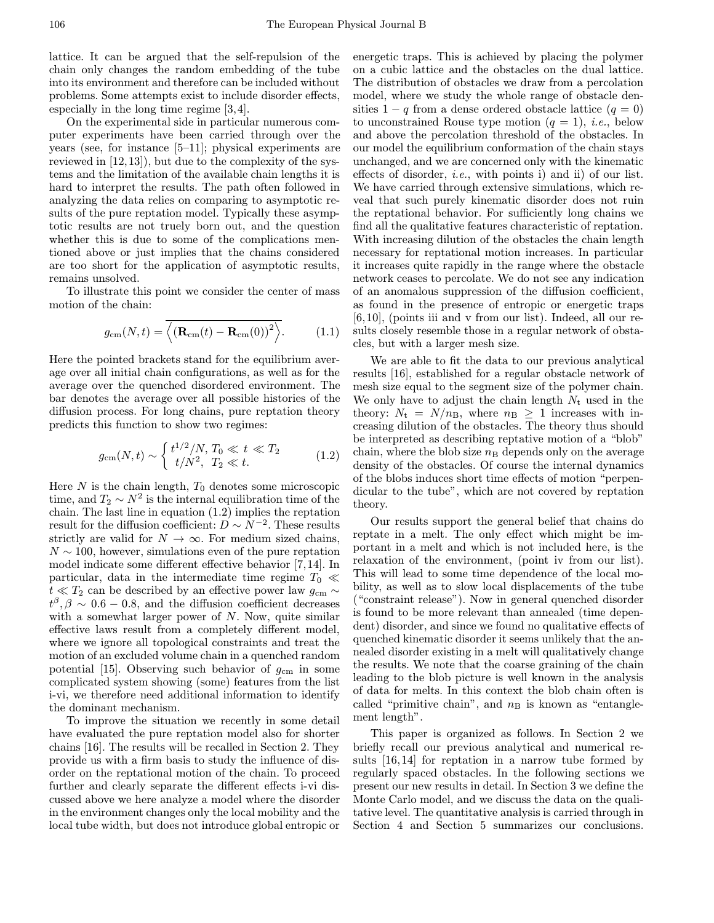lattice. It can be argued that the self-repulsion of the chain only changes the random embedding of the tube into its environment and therefore can be included without problems. Some attempts exist to include disorder effects, especially in the long time regime [3,4].

On the experimental side in particular numerous computer experiments have been carried through over the years (see, for instance [5–11]; physical experiments are reviewed in [12,13]), but due to the complexity of the systems and the limitation of the available chain lengths it is hard to interpret the results. The path often followed in analyzing the data relies on comparing to asymptotic results of the pure reptation model. Typically these asymptotic results are not truely born out, and the question whether this is due to some of the complications mentioned above or just implies that the chains considered are too short for the application of asymptotic results, remains unsolved.

To illustrate this point we consider the center of mass motion of the chain:

$$
g_{\text{cm}}(N,t) = \overline{\langle (\mathbf{R}_{\text{cm}}(t) - \mathbf{R}_{\text{cm}}(0))^2 \rangle}.
$$
 (1.1)

Here the pointed brackets stand for the equilibrium average over all initial chain configurations, as well as for the average over the quenched disordered environment. The bar denotes the average over all possible histories of the diffusion process. For long chains, pure reptation theory predicts this function to show two regimes:

$$
g_{\text{cm}}(N,t) \sim \begin{cases} t^{1/2}/N, T_0 \ll t \ll T_2 \\ t/N^2, T_2 \ll t. \end{cases}
$$
 (1.2)

Here  $N$  is the chain length,  $T_0$  denotes some microscopic time, and  $T_2 \sim N^2$  is the internal equilibration time of the chain. The last line in equation  $(1.2)$  implies the reptation result for the diffusion coefficient:  $D \sim N^{-2}$ . These results strictly are valid for  $N \to \infty$ . For medium sized chains,  $N \sim 100$ , however, simulations even of the pure reptation model indicate some different effective behavior [7,14]. In particular, data in the intermediate time regime  $T_0 \ll$  $t \ll T_2$  can be described by an effective power law  $g_{\rm cm} \sim$  $t^{\beta}, \beta \sim 0.6 - 0.8$ , and the diffusion coefficient decreases with a somewhat larger power of  $N$ . Now, quite similar effective laws result from a completely different model, where we ignore all topological constraints and treat the motion of an excluded volume chain in a quenched random potential [15]. Observing such behavior of  $g<sub>cm</sub>$  in some complicated system showing (some) features from the list i-vi, we therefore need additional information to identify the dominant mechanism.

To improve the situation we recently in some detail have evaluated the pure reptation model also for shorter chains [16]. The results will be recalled in Section 2. They provide us with a firm basis to study the influence of disorder on the reptational motion of the chain. To proceed further and clearly separate the different effects i-vi discussed above we here analyze a model where the disorder in the environment changes only the local mobility and the local tube width, but does not introduce global entropic or energetic traps. This is achieved by placing the polymer on a cubic lattice and the obstacles on the dual lattice. The distribution of obstacles we draw from a percolation model, where we study the whole range of obstacle densities  $1 - q$  from a dense ordered obstacle lattice  $(q = 0)$ to unconstrained Rouse type motion  $(q = 1)$ , *i.e.*, below and above the percolation threshold of the obstacles. In our model the equilibrium conformation of the chain stays unchanged, and we are concerned only with the kinematic effects of disorder, i.e., with points i) and ii) of our list. We have carried through extensive simulations, which reveal that such purely kinematic disorder does not ruin the reptational behavior. For sufficiently long chains we find all the qualitative features characteristic of reptation. With increasing dilution of the obstacles the chain length necessary for reptational motion increases. In particular it increases quite rapidly in the range where the obstacle network ceases to percolate. We do not see any indication of an anomalous suppression of the diffusion coefficient, as found in the presence of entropic or energetic traps [6,10], (points iii and v from our list). Indeed, all our results closely resemble those in a regular network of obstacles, but with a larger mesh size.

We are able to fit the data to our previous analytical results [16], established for a regular obstacle network of mesh size equal to the segment size of the polymer chain. We only have to adjust the chain length  $N_t$  used in the theory:  $N_t = N/n_B$ , where  $n_B \geq 1$  increases with increasing dilution of the obstacles. The theory thus should be interpreted as describing reptative motion of a "blob" chain, where the blob size  $n<sub>B</sub>$  depends only on the average density of the obstacles. Of course the internal dynamics of the blobs induces short time effects of motion "perpendicular to the tube", which are not covered by reptation theory.

Our results support the general belief that chains do reptate in a melt. The only effect which might be important in a melt and which is not included here, is the relaxation of the environment, (point iv from our list). This will lead to some time dependence of the local mobility, as well as to slow local displacements of the tube ("constraint release"). Now in general quenched disorder is found to be more relevant than annealed (time dependent) disorder, and since we found no qualitative effects of quenched kinematic disorder it seems unlikely that the annealed disorder existing in a melt will qualitatively change the results. We note that the coarse graining of the chain leading to the blob picture is well known in the analysis of data for melts. In this context the blob chain often is called "primitive chain", and  $n<sub>B</sub>$  is known as "entanglement length".

This paper is organized as follows. In Section 2 we briefly recall our previous analytical and numerical results [16,14] for reptation in a narrow tube formed by regularly spaced obstacles. In the following sections we present our new results in detail. In Section 3 we define the Monte Carlo model, and we discuss the data on the qualitative level. The quantitative analysis is carried through in Section 4 and Section 5 summarizes our conclusions.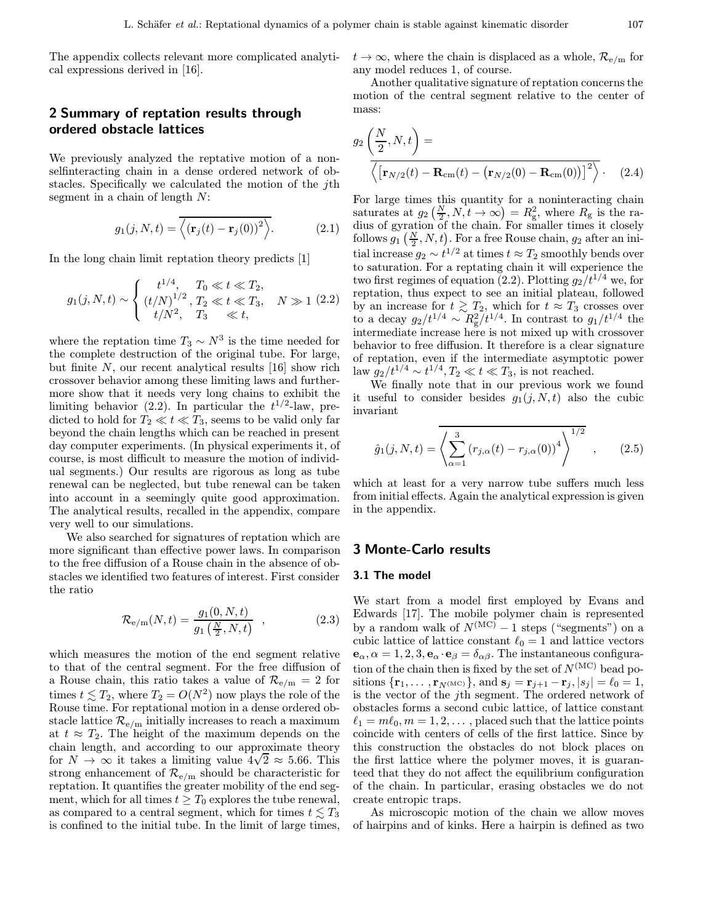The appendix collects relevant more complicated analytical expressions derived in [16].

# 2 Summary of reptation results through ordered obstacle lattices

We previously analyzed the reptative motion of a nonselfinteracting chain in a dense ordered network of obstacles. Specifically we calculated the motion of the jth segment in a chain of length N:

$$
g_1(j, N, t) = \overline{\langle (\mathbf{r}_j(t) - \mathbf{r}_j(0))^2 \rangle}.
$$
 (2.1)

In the long chain limit reptation theory predicts [1]

$$
g_1(j, N, t) \sim \begin{cases} t^{1/4}, & T_0 \ll t \ll T_2, \\ (t/N)^{1/2}, & T_2 \ll t \ll T_3, N \gg 1 \ (2.2) \\ t/N^2, & T_3 \ll t, \end{cases}
$$

where the reptation time  $T_3 \sim N^3$  is the time needed for the complete destruction of the original tube. For large, but finite  $N$ , our recent analytical results [16] show rich crossover behavior among these limiting laws and furthermore show that it needs very long chains to exhibit the limiting behavior (2.2). In particular the  $t^{1/2}$ -law, predicted to hold for  $T_2 \ll t \ll T_3$ , seems to be valid only far beyond the chain lengths which can be reached in present day computer experiments. (In physical experiments it, of course, is most difficult to measure the motion of individual segments.) Our results are rigorous as long as tube renewal can be neglected, but tube renewal can be taken into account in a seemingly quite good approximation. The analytical results, recalled in the appendix, compare very well to our simulations.

We also searched for signatures of reptation which are more significant than effective power laws. In comparison to the free diffusion of a Rouse chain in the absence of obstacles we identified two features of interest. First consider the ratio

$$
\mathcal{R}_{e/m}(N,t) = \frac{g_1(0,N,t)}{g_1(\frac{N}{2},N,t)}, \qquad (2.3)
$$

which measures the motion of the end segment relative to that of the central segment. For the free diffusion of a Rouse chain, this ratio takes a value of  $\mathcal{R}_{e/m} = 2$  for times  $t \lesssim T_2$ , where  $T_2 = O(N^2)$  now plays the role of the Rouse time. For reptational motion in a dense ordered obstacle lattice  $\mathcal{R}_{e/m}$  initially increases to reach a maximum at  $t \approx T_2$ . The height of the maximum depends on the chain length, and according to our approximate theory chain length, and according to our approximate theory<br>for  $N \to \infty$  it takes a limiting value  $4\sqrt{2} \approx 5.66$ . This strong enhancement of  $\mathcal{R}_{e/m}$  should be characteristic for reptation. It quantifies the greater mobility of the end segment, which for all times  $t \geq T_0$  explores the tube renewal, as compared to a central segment, which for times  $t \lesssim T_3$ is confined to the initial tube. In the limit of large times,  $t \to \infty$ , where the chain is displaced as a whole,  $\mathcal{R}_{e/m}$  for any model reduces 1, of course.

Another qualitative signature of reptation concerns the motion of the central segment relative to the center of mass:

$$
g_2\left(\frac{N}{2}, N, t\right) = \frac{\left(\mathbf{r}_{N/2}(t) - \mathbf{R}_{cm}(t) - (\mathbf{r}_{N/2}(0) - \mathbf{R}_{cm}(0))\right)^2}{\left\langle \left(\mathbf{r}_{N/2}(t) - \mathbf{R}_{cm}(t) - (\mathbf{r}_{N/2}(0) - \mathbf{R}_{cm}(0))\right)^2 \right\rangle}.
$$
 (2.4)

For large times this quantity for a noninteracting chain saturates at  $g_2\left(\frac{N}{2},N,t\to\infty\right)=R_g^2$ , where  $R_g$  is the radius of gyration of the chain. For smaller times it closely follows  $g_1\left(\frac{N}{2},N,t\right)$ . For a free Rouse chain,  $g_2$  after an initial increase  $g_2 \sim t^{1/2}$  at times  $t \approx T_2$  smoothly bends over to saturation. For a reptating chain it will experience the two first regimes of equation (2.2). Plotting  $g_2/t^{1/4}$  we, for reptation, thus expect to see an initial plateau, followed by an increase for  $t \gtrsim T_2$ , which for  $t \approx T_3$  crosses over to a decay  $g_2/t^{1/4} \sim R_g^2/t^{1/4}$ . In contrast to  $g_1/t^{1/4}$  the intermediate increase here is not mixed up with crossover behavior to free diffusion. It therefore is a clear signature of reptation, even if the intermediate asymptotic power law  $g_2/t^{1/4} \sim t^{1/4}, T_2 \ll t \ll T_3$ , is not reached.

We finally note that in our previous work we found it useful to consider besides  $g_1(j, N, t)$  also the cubic invariant

$$
\hat{g}_1(j, N, t) = \left\langle \sum_{\alpha=1}^3 (r_{j,\alpha}(t) - r_{j,\alpha}(0))^4 \right\rangle^{1/2}, \quad (2.5)
$$

which at least for a very narrow tube suffers much less from initial effects. Again the analytical expression is given in the appendix.

### 3 Monte-Carlo results

#### 3.1 The model

We start from a model first employed by Evans and Edwards [17]. The mobile polymer chain is represented by a random walk of  $N^{(\text{MC})} - 1$  steps ("segments") on a cubic lattice of lattice constant  $\ell_0 = 1$  and lattice vectors  ${\bf e}_{\alpha}, \alpha = 1, 2, 3, {\bf e}_{\alpha} \cdot {\bf e}_{\beta} = \delta_{\alpha\beta}$ . The instantaneous configuration of the chain then is fixed by the set of  $N^{(\text{MC})}$  bead positions { ${\bf r}_1,\ldots,{\bf r}_{N(MC)}$ }, and  ${\bf s}_j = {\bf r}_{j+1} - {\bf r}_j, |s_j| = \ell_0 = 1$ , is the vector of the jth segment. The ordered network of obstacles forms a second cubic lattice, of lattice constant  $\ell_1 = m\ell_0, m = 1, 2, \ldots$ , placed such that the lattice points coincide with centers of cells of the first lattice. Since by this construction the obstacles do not block places on the first lattice where the polymer moves, it is guaranteed that they do not affect the equilibrium configuration of the chain. In particular, erasing obstacles we do not create entropic traps.

As microscopic motion of the chain we allow moves of hairpins and of kinks. Here a hairpin is defined as two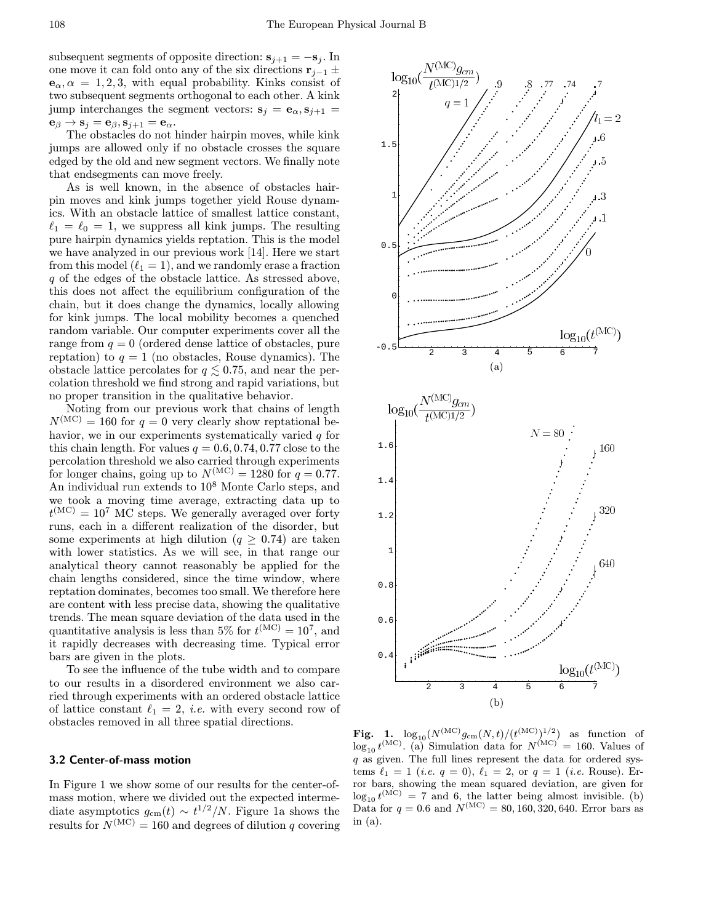subsequent segments of opposite direction:  $s_{j+1} = -s_j$ . In one move it can fold onto any of the six directions  $\mathbf{r}_{i-1} \pm$  $e_{\alpha}, \alpha = 1, 2, 3$ , with equal probability. Kinks consist of two subsequent segments orthogonal to each other. A kink jump interchanges the segment vectors:  $s_i = e_\alpha, s_{i+1} =$  ${\bf e}_{\beta} \rightarrow {\bf s}_i = {\bf e}_{\beta}, {\bf s}_{i+1} = {\bf e}_{\alpha}.$ 

The obstacles do not hinder hairpin moves, while kink jumps are allowed only if no obstacle crosses the square edged by the old and new segment vectors. We finally note that endsegments can move freely.

As is well known, in the absence of obstacles hairpin moves and kink jumps together yield Rouse dynamics. With an obstacle lattice of smallest lattice constant,  $\ell_1 = \ell_0 = 1$ , we suppress all kink jumps. The resulting pure hairpin dynamics yields reptation. This is the model we have analyzed in our previous work [14]. Here we start from this model  $(\ell_1 = 1)$ , and we randomly erase a fraction q of the edges of the obstacle lattice. As stressed above, this does not affect the equilibrium configuration of the chain, but it does change the dynamics, locally allowing for kink jumps. The local mobility becomes a quenched random variable. Our computer experiments cover all the range from  $q = 0$  (ordered dense lattice of obstacles, pure reptation) to  $q = 1$  (no obstacles, Rouse dynamics). The obstacle lattice percolates for  $q \lesssim 0.75$ , and near the percolation threshold we find strong and rapid variations, but no proper transition in the qualitative behavior.

Noting from our previous work that chains of length  $N^{(\text{MC})} = 160$  for  $q = 0$  very clearly show reptational behavior, we in our experiments systematically varied  $q$  for this chain length. For values  $q = 0.6, 0.74, 0.77$  close to the percolation threshold we also carried through experiments for longer chains, going up to  $N^{(\text{MC})} = 1280$  for  $q = 0.77$ . An individual run extends to 10<sup>8</sup> Monte Carlo steps, and we took a moving time average, extracting data up to  $t^{\text{(MC)}} = 10^7$  MC steps. We generally averaged over forty runs, each in a different realization of the disorder, but some experiments at high dilution ( $q \geq 0.74$ ) are taken with lower statistics. As we will see, in that range our analytical theory cannot reasonably be applied for the chain lengths considered, since the time window, where reptation dominates, becomes too small. We therefore here are content with less precise data, showing the qualitative trends. The mean square deviation of the data used in the quantitative analysis is less than 5% for  $t^{\text{(MC)}} = 10^7$ , and it rapidly decreases with decreasing time. Typical error bars are given in the plots.

To see the influence of the tube width and to compare to our results in a disordered environment we also carried through experiments with an ordered obstacle lattice of lattice constant  $\ell_1 = 2$ , *i.e.* with every second row of obstacles removed in all three spatial directions.

### 3.2 Center-of-mass motion

In Figure 1 we show some of our results for the center-ofmass motion, where we divided out the expected intermediate asymptotics  $g_{\text{cm}}(t) \sim t^{1/2}/N$ . Figure 1a shows the results for  $N^{(\text{MC})} = 160$  and degrees of dilution q covering



Fig. 1.  $\log_{10}(N^{(\text{MC})}g_{\text{cm}}(N,t)/(t^{(\text{MC}}))^{1/2})$  as function of  $\log_{10} t^{\text{(MC)}}$ . (a) Simulation data for  $N^{\text{(MC)}} = 160$ . Values of q as given. The full lines represent the data for ordered systems  $\ell_1 = 1$  (*i.e.*  $q = 0$ ),  $\ell_1 = 2$ , or  $q = 1$  (*i.e.* Rouse). Error bars, showing the mean squared deviation, are given for  $\log_{10} t^{\text{(MC)}} = 7$  and 6, the latter being almost invisible. (b) Data for  $q = 0.6$  and  $N^{(\text{MC})} = 80, 160, 320, 640$ . Error bars as in  $(a)$ .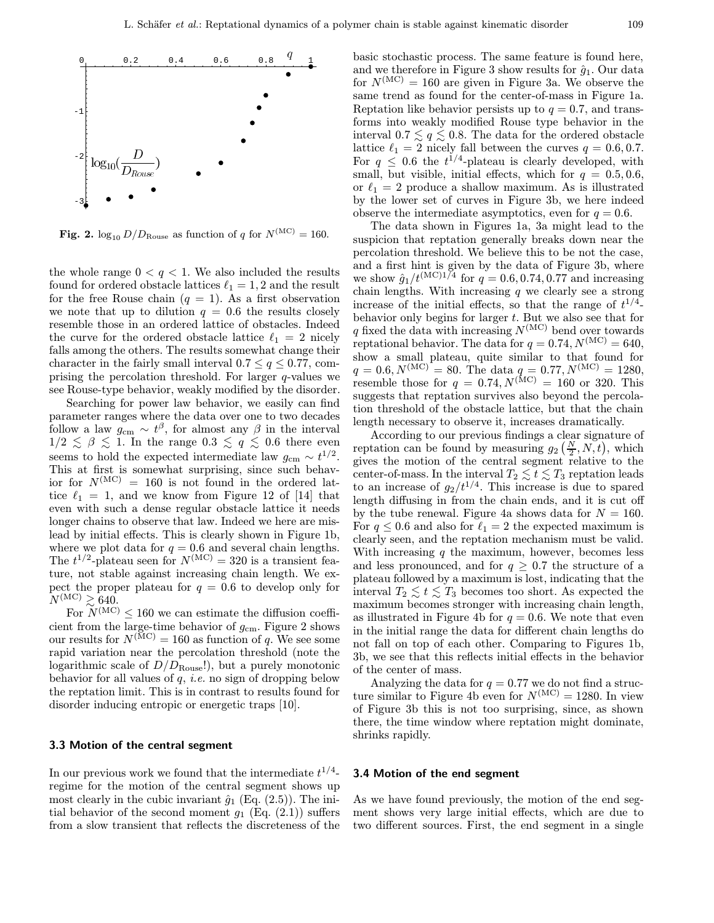

Fig. 2.  $\log_{10} D/D_{\text{Rouse}}$  as function of q for  $N^{(\text{MC})} = 160$ .

the whole range  $0 < q < 1$ . We also included the results found for ordered obstacle lattices  $\ell_1 = 1, 2$  and the result for the free Rouse chain  $(q = 1)$ . As a first observation we note that up to dilution  $q = 0.6$  the results closely resemble those in an ordered lattice of obstacles. Indeed the curve for the ordered obstacle lattice  $\ell_1 = 2$  nicely falls among the others. The results somewhat change their character in the fairly small interval  $0.7 \le q \le 0.77$ , comprising the percolation threshold. For larger  $q$ -values we see Rouse-type behavior, weakly modified by the disorder.

Searching for power law behavior, we easily can find parameter ranges where the data over one to two decades follow a law  $g_{\text{cm}} \sim t^{\beta}$ , for almost any  $\beta$  in the interval  $1/2 \lesssim \beta \lesssim 1$ . In the range  $0.3 \lesssim q \lesssim 0.6$  there even seems to hold the expected intermediate law  $g_{\rm cm} \sim t^{1/2}$ . This at first is somewhat surprising, since such behavior for  $N^{(\text{MC})}$  = 160 is not found in the ordered lattice  $\ell_1 = 1$ , and we know from Figure 12 of [14] that even with such a dense regular obstacle lattice it needs longer chains to observe that law. Indeed we here are mislead by initial effects. This is clearly shown in Figure 1b, where we plot data for  $q = 0.6$  and several chain lengths. The  $t^{1/2}$ -plateau seen for  $N^{(\text{MC})} = 320$  is a transient feature, not stable against increasing chain length. We expect the proper plateau for  $q = 0.6$  to develop only for  $N^{\text{(MC)}} \geq 640.$ 

For  $\widetilde{N}^{(\mathrm{MC})} \leq 160$  we can estimate the diffusion coefficient from the large-time behavior of  $g_{\rm cm}$ . Figure 2 shows our results for  $N^{(\text{MC})} = 160$  as function of q. We see some rapid variation near the percolation threshold (note the logarithmic scale of  $D/D_{\text{Rouse}}$ !), but a purely monotonic behavior for all values of  $q$ , *i.e.* no sign of dropping below the reptation limit. This is in contrast to results found for disorder inducing entropic or energetic traps [10].

#### 3.3 Motion of the central segment

In our previous work we found that the intermediate  $t^{1/4}$ regime for the motion of the central segment shows up most clearly in the cubic invariant  $\hat{g}_1$  (Eq. (2.5)). The initial behavior of the second moment  $g_1$  (Eq. (2.1)) suffers from a slow transient that reflects the discreteness of the

basic stochastic process. The same feature is found here, and we therefore in Figure 3 show results for  $\hat{g}_1$ . Our data for  $N^{(\text{MC})} = 160$  are given in Figure 3a. We observe the same trend as found for the center-of-mass in Figure 1a. Reptation like behavior persists up to  $q = 0.7$ , and transforms into weakly modified Rouse type behavior in the interval  $0.7 \lesssim q \lesssim 0.8$ . The data for the ordered obstacle lattice  $\ell_1 = 2$  nicely fall between the curves  $q = 0.6, 0.7$ . For  $q \leq 0.6$  the  $t^{1/4}$ -plateau is clearly developed, with small, but visible, initial effects, which for  $q = 0.5, 0.6$ , or  $\ell_1 = 2$  produce a shallow maximum. As is illustrated by the lower set of curves in Figure 3b, we here indeed observe the intermediate asymptotics, even for  $q = 0.6$ .

The data shown in Figures 1a, 3a might lead to the suspicion that reptation generally breaks down near the percolation threshold. We believe this to be not the case, and a first hint is given by the data of Figure 3b, where we show  $\hat{g}_1/t^{\text{(MC)}1/4}$  for  $q = 0.6, 0.74, 0.77$  and increasing chain lengths. With increasing  $q$  we clearly see a strong increase of the initial effects, so that the range of  $t^{1/4}$ behavior only begins for larger  $t$ . But we also see that for q fixed the data with increasing  $N^{(\text{MC})}$  bend over towards reptational behavior. The data for  $q = 0.74, N^{(\text{MC})} = 640,$ show a small plateau, quite similar to that found for  $q = 0.6, N^{\text{(MC)}} = 80.$  The data  $q = 0.77, N^{\text{(MC)}} = 1280,$ resemble those for  $q = 0.74, N^{(\text{MC})} = 160$  or 320. This suggests that reptation survives also beyond the percolation threshold of the obstacle lattice, but that the chain length necessary to observe it, increases dramatically.

According to our previous findings a clear signature of reptation can be found by measuring  $g_2(\frac{N}{2}, N, t)$ , which gives the motion of the central segment relative to the center-of-mass. In the interval  $T_2 \lesssim t \lesssim T_3$  reptation leads to an increase of  $g_2/t^{1/4}$ . This increase is due to spared length diffusing in from the chain ends, and it is cut off by the tube renewal. Figure 4a shows data for  $N = 160$ . For  $q \leq 0.6$  and also for  $\ell_1 = 2$  the expected maximum is clearly seen, and the reptation mechanism must be valid. With increasing  $q$  the maximum, however, becomes less and less pronounced, and for  $q > 0.7$  the structure of a plateau followed by a maximum is lost, indicating that the interval  $T_2 \lesssim t \lesssim T_3$  becomes too short. As expected the maximum becomes stronger with increasing chain length, as illustrated in Figure 4b for  $q = 0.6$ . We note that even in the initial range the data for different chain lengths do not fall on top of each other. Comparing to Figures 1b, 3b, we see that this reflects initial effects in the behavior of the center of mass.

Analyzing the data for  $q = 0.77$  we do not find a structure similar to Figure 4b even for  $N^{(\text{MC})} = 1280$ . In view of Figure 3b this is not too surprising, since, as shown there, the time window where reptation might dominate, shrinks rapidly.

#### 3.4 Motion of the end segment

As we have found previously, the motion of the end segment shows very large initial effects, which are due to two different sources. First, the end segment in a single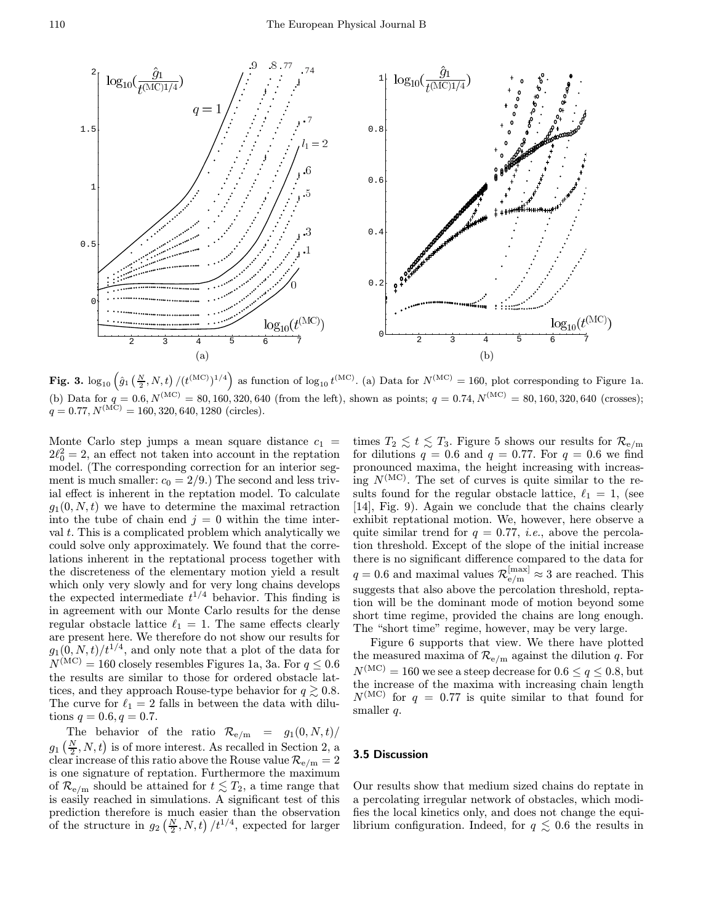

Fig. 3.  $\log_{10} (\hat{g}_1 (\frac{N}{2}, N, t) / (t^{(MC)})^{1/4})$  as function of  $\log_{10} t^{(MC)}$ . (a) Data for  $N^{(MC)} = 160$ , plot corresponding to Figure 1a. (b) Data for  $q = 0.6, N^{(\text{MC})} = 80, 160, 320, 640$  (from the left), shown as points;  $q = 0.74, N^{(\text{MC})} = 80, 160, 320, 640$  (crosses);  $q = 0.77, N^{\text{(MC)}} = 160, 320, 640, 1280 \text{ (circles)}.$ 

Monte Carlo step jumps a mean square distance  $c_1$  =  $2\ell_0^2 = 2$ , an effect not taken into account in the reptation model. (The corresponding correction for an interior segment is much smaller:  $c_0 = 2/9$ .) The second and less trivial effect is inherent in the reptation model. To calculate  $g_1(0, N, t)$  we have to determine the maximal retraction into the tube of chain end  $j = 0$  within the time interval  $t$ . This is a complicated problem which analytically we could solve only approximately. We found that the correlations inherent in the reptational process together with the discreteness of the elementary motion yield a result which only very slowly and for very long chains develops the expected intermediate  $t^{1/4}$  behavior. This finding is in agreement with our Monte Carlo results for the dense regular obstacle lattice  $\ell_1 = 1$ . The same effects clearly are present here. We therefore do not show our results for  $g_1(0, N, t)/t^{1/4}$ , and only note that a plot of the data for  $N^{(\text{MC})} = 160$  closely resembles Figures 1a, 3a. For  $q \leq 0.6$ the results are similar to those for ordered obstacle lattices, and they approach Rouse-type behavior for  $q \geq 0.8$ . The curve for  $\ell_1 = 2$  falls in between the data with dilutions  $q = 0.6, q = 0.7$ .

The behavior of the ratio  $\mathcal{R}_{e/m} = g_1(0, N, t)$ /  $g_1\left(\frac{N}{2},N,t\right)$  is of more interest. As recalled in Section 2, a clear increase of this ratio above the Rouse value  $\mathcal{R}_{e/m} = 2$ is one signature of reptation. Furthermore the maximum of  $\mathcal{R}_{e/m}$  should be attained for  $t \lesssim T_2$ , a time range that is easily reached in simulations. A significant test of this prediction therefore is much easier than the observation of the structure in  $g_2\left(\frac{N}{2},N,t\right)/t^{1/4}$ , expected for larger

times  $T_2 \lesssim t \lesssim T_3$ . Figure 5 shows our results for  $\mathcal{R}_{e/m}$ for dilutions  $q = 0.6$  and  $q = 0.77$ . For  $q = 0.6$  we find pronounced maxima, the height increasing with increasing  $N^{(\text{MC})}$ . The set of curves is quite similar to the results found for the regular obstacle lattice,  $\ell_1 = 1$ , (see [14], Fig. 9). Again we conclude that the chains clearly exhibit reptational motion. We, however, here observe a quite similar trend for  $q = 0.77$ , *i.e.*, above the percolation threshold. Except of the slope of the initial increase there is no significant difference compared to the data for  $q = 0.6$  and maximal values  $\mathcal{R}_{e/m}^{[\text{max}]} \approx 3$  are reached. This suggests that also above the percolation threshold, reptation will be the dominant mode of motion beyond some short time regime, provided the chains are long enough. The "short time" regime, however, may be very large.

Figure 6 supports that view. We there have plotted the measured maxima of  $\mathcal{R}_{e/m}$  against the dilution q. For  $N^{(\text{MC})} = 160$  we see a steep decrease for  $0.6 \le q \le 0.8$ , but the increase of the maxima with increasing chain length  $N^{(\text{MC})}$  for  $q = 0.77$  is quite similar to that found for smaller q.

### 3.5 Discussion

Our results show that medium sized chains do reptate in a percolating irregular network of obstacles, which modifies the local kinetics only, and does not change the equilibrium configuration. Indeed, for  $q \lesssim 0.6$  the results in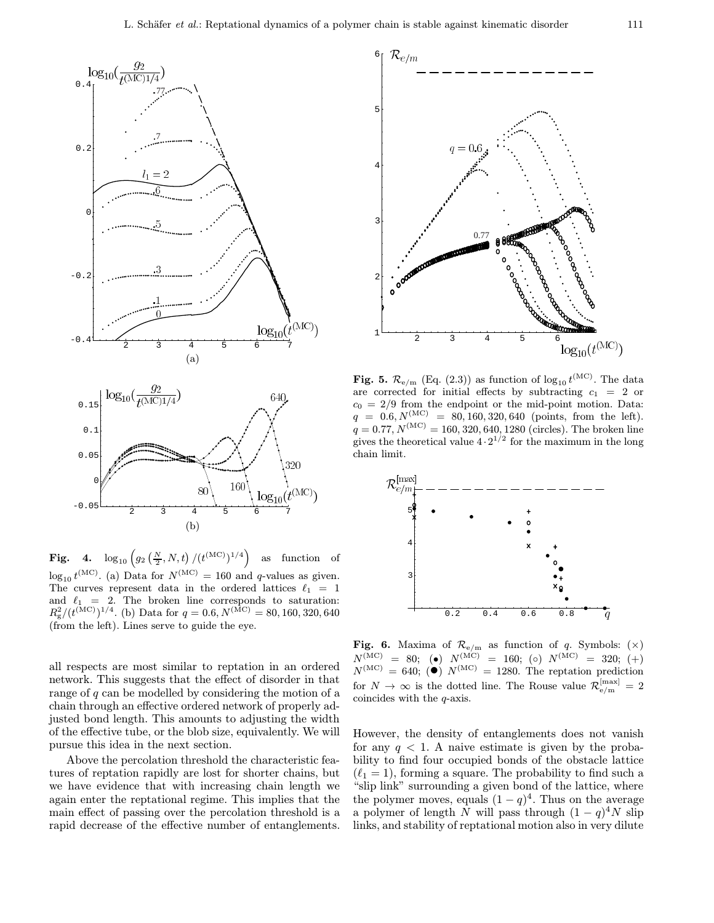

Fig. 4.  $\log_{10}\left(g_2\left(\frac{N}{2},N,t\right)/(t^{\rm{(MC)}})^{1/4}\right)$ as function of  $\log_{10} t^{\text{(MC)}}$ . (a) Data for  $N^{\text{(MC)}} = 160$  and q-values as given. The curves represent data in the ordered lattices  $\ell_1 = 1$ and  $\ell_1 = 2$ . The broken line corresponds to saturation:  $R_{\rm g}^2/(t^{\rm (MC)})^{1/4}$ . (b) Data for  $q=0.6, N^{\rm (MC)}=80, 160, 320, 640$ (from the left). Lines serve to guide the eye.

all respects are most similar to reptation in an ordered network. This suggests that the effect of disorder in that range of  $q$  can be modelled by considering the motion of a chain through an effective ordered network of properly adjusted bond length. This amounts to adjusting the width of the effective tube, or the blob size, equivalently. We will pursue this idea in the next section.

Above the percolation threshold the characteristic features of reptation rapidly are lost for shorter chains, but we have evidence that with increasing chain length we again enter the reptational regime. This implies that the main effect of passing over the percolation threshold is a rapid decrease of the effective number of entanglements.



**Fig. 5.**  $\mathcal{R}_{e/m}$  (Eq. (2.3)) as function of  $\log_{10} t^{\text{(MC)}}$ . The data are corrected for initial effects by subtracting  $c_1 = 2$  or  $c_0 = 2/9$  from the endpoint or the mid-point motion. Data:  $q = 0.6, N^{\text{(MC)}} = 80, 160, 320, 640$  (points, from the left).  $q = 0.77, N^{(\text{MC})} = 160, 320, 640, 1280$  (circles). The broken line gives the theoretical value  $4 \cdot 2^{1/2}$  for the maximum in the long chain limit.



**Fig. 6.** Maxima of  $\mathcal{R}_{e/m}$  as function of q. Symbols:  $(\times)$  $N^{(\rm MC)}~=~80;$  (•)  $N^{(\rm MC)}~=~160;$  (⊙)  $N^{(\rm MC)}~=~320;$   $(+)$  $N^{(\text{MC})} = 640$ ; ( $\bullet$ )  $N^{(\text{MC})} = 1280$ . The reptation prediction for  $N \to \infty$  is the dotted line. The Rouse value  $\mathcal{R}_{e/m}^{[max]} = 2$ coincides with the q-axis.

However, the density of entanglements does not vanish for any  $q < 1$ . A naive estimate is given by the probability to find four occupied bonds of the obstacle lattice  $(\ell_1 = 1)$ , forming a square. The probability to find such a "slip link" surrounding a given bond of the lattice, where the polymer moves, equals  $(1 - q)^4$ . Thus on the average a polymer of length N will pass through  $(1 - q)^4 N$  slip links, and stability of reptational motion also in very dilute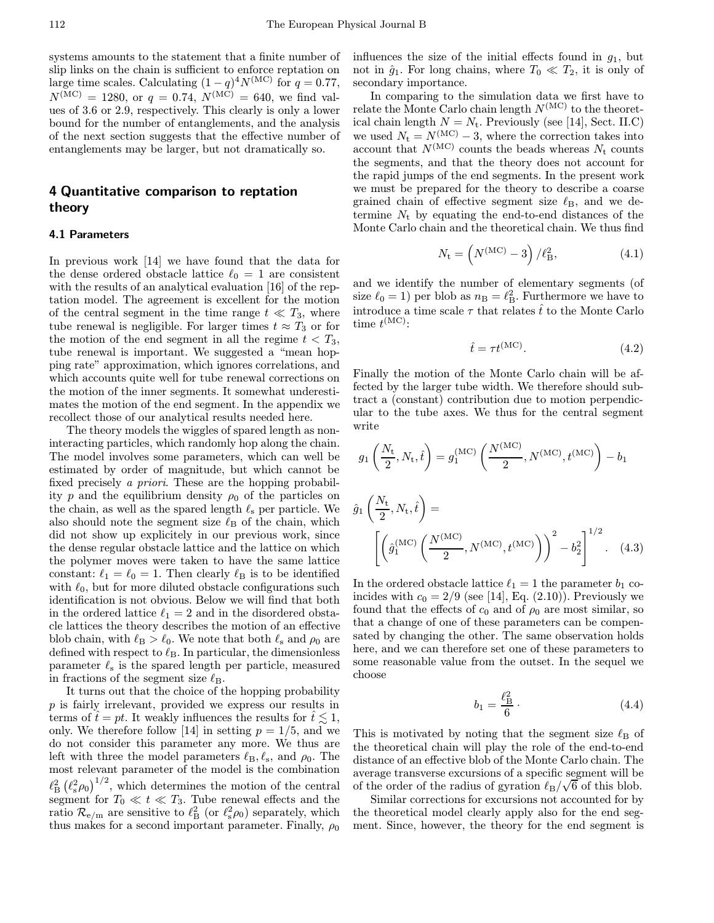systems amounts to the statement that a finite number of slip links on the chain is sufficient to enforce reptation on large time scales. Calculating  $(1 - q)^4 N^{(\text{MC})}$  for  $q = 0.77$ ,  $N^{(\text{MC})} = 1280$ , or  $q = 0.74$ ,  $N^{(\text{MC})} = 640$ , we find values of 3.6 or 2.9, respectively. This clearly is only a lower bound for the number of entanglements, and the analysis of the next section suggests that the effective number of entanglements may be larger, but not dramatically so.

# 4 Quantitative comparison to reptation theory

### 4.1 Parameters

In previous work [14] we have found that the data for the dense ordered obstacle lattice  $\ell_0 = 1$  are consistent with the results of an analytical evaluation [16] of the reptation model. The agreement is excellent for the motion of the central segment in the time range  $t \ll T_3$ , where tube renewal is negligible. For larger times  $t \approx T_3$  or for the motion of the end segment in all the regime  $t < T_3$ , tube renewal is important. We suggested a "mean hopping rate" approximation, which ignores correlations, and which accounts quite well for tube renewal corrections on the motion of the inner segments. It somewhat underestimates the motion of the end segment. In the appendix we recollect those of our analytical results needed here.

The theory models the wiggles of spared length as noninteracting particles, which randomly hop along the chain. The model involves some parameters, which can well be estimated by order of magnitude, but which cannot be fixed precisely a priori. These are the hopping probability p and the equilibrium density  $\rho_0$  of the particles on the chain, as well as the spared length  $\ell_{\rm s}$  per particle. We also should note the segment size  $\ell_{\rm B}$  of the chain, which did not show up explicitely in our previous work, since the dense regular obstacle lattice and the lattice on which the polymer moves were taken to have the same lattice constant:  $\ell_1 = \ell_0 = 1$ . Then clearly  $\ell_B$  is to be identified with  $\ell_0$ , but for more diluted obstacle configurations such identification is not obvious. Below we will find that both in the ordered lattice  $\ell_1 = 2$  and in the disordered obstacle lattices the theory describes the motion of an effective blob chain, with  $\ell_B > \ell_0$ . We note that both  $\ell_s$  and  $\rho_0$  are defined with respect to  $\ell_{\rm B}$ . In particular, the dimensionless parameter  $\ell_s$  is the spared length per particle, measured in fractions of the segment size  $\ell_{\rm B}$ .

It turns out that the choice of the hopping probability p is fairly irrelevant, provided we express our results in terms of  $\hat{t} = pt$ . It weakly influences the results for  $\hat{t} \lesssim 1$ , only. We therefore follow [14] in setting  $p = 1/5$ , and we do not consider this parameter any more. We thus are left with three the model parameters  $\ell_{\rm B}, \ell_{\rm s}$ , and  $\rho_0$ . The most relevant parameter of the model is the combination  $\ell_{\rm B}^2$   $(\ell_{\rm s}^2 \rho_0)^{1/2}$ , which determines the motion of the central segment for  $T_0 \ll t \ll T_3$ . Tube renewal effects and the ratio  $\mathcal{R}_{e/m}$  are sensitive to  $\ell_B^2$  (or  $\ell_s^2 \rho_0$ ) separately, which thus makes for a second important parameter. Finally,  $\rho_0$  influences the size of the initial effects found in  $g_1$ , but not in  $\hat{g}_1$ . For long chains, where  $T_0 \ll T_2$ , it is only of secondary importance.

In comparing to the simulation data we first have to relate the Monte Carlo chain length  $N^{(\text{MC})}$  to the theoretical chain length  $N = N_t$ . Previously (see [14], Sect. II.C) we used  $N_t = N^{(\text{MC})} - 3$ , where the correction takes into account that  $N^{(\text{MC})}$  counts the beads whereas  $N_t$  counts the segments, and that the theory does not account for the rapid jumps of the end segments. In the present work we must be prepared for the theory to describe a coarse grained chain of effective segment size  $\ell_{\rm B}$ , and we determine  $N_t$  by equating the end-to-end distances of the Monte Carlo chain and the theoretical chain. We thus find

$$
N_{\rm t} = \left(N^{\rm (MC)} - 3\right) / \ell_{\rm B}^2,\tag{4.1}
$$

and we identify the number of elementary segments (of size  $\ell_0 = 1$ ) per blob as  $n_B = \ell_B^2$ . Furthermore we have to introduce a time scale  $\tau$  that relates  $\hat{t}$  to the Monte Carlo time  $t^{\text{(MC)}}$ :

$$
\hat{t} = \tau t^{\text{(MC)}}.\tag{4.2}
$$

Finally the motion of the Monte Carlo chain will be affected by the larger tube width. We therefore should subtract a (constant) contribution due to motion perpendicular to the tube axes. We thus for the central segment write

$$
g_1\left(\frac{N_{\rm t}}{2}, N_{\rm t}, \hat{t}\right) = g_1^{\rm (MC)}\left(\frac{N^{\rm (MC)}}{2}, N^{\rm (MC)}, t^{\rm (MC)}\right) - b_1
$$

$$
\hat{g}_1\left(\frac{N_{\rm t}}{2}, N_{\rm t}, \hat{t}\right) = \left[\left(\hat{g}_1^{\rm (MC)}\left(\frac{N^{\rm (MC)}}{2}, N^{\rm (MC)}, t^{\rm (MC)}\right)\right)^2 - b_2^2\right]^{1/2}.
$$
(4.3)

In the ordered obstacle lattice  $\ell_1 = 1$  the parameter  $b_1$  coincides with  $c_0 = 2/9$  (see [14], Eq. (2.10)). Previously we found that the effects of  $c_0$  and of  $\rho_0$  are most similar, so that a change of one of these parameters can be compensated by changing the other. The same observation holds here, and we can therefore set one of these parameters to some reasonable value from the outset. In the sequel we choose

$$
b_1 = \frac{\ell_{\rm B}^2}{6} \,. \tag{4.4}
$$

This is motivated by noting that the segment size  $\ell_{\rm B}$  of the theoretical chain will play the role of the end-to-end distance of an effective blob of the Monte Carlo chain. The average transverse excursions of a specific segment will be average transverse excursions of a specific segment will be order of the radius of gyration  $\ell_B/\sqrt{6}$  of this blob.

Similar corrections for excursions not accounted for by the theoretical model clearly apply also for the end segment. Since, however, the theory for the end segment is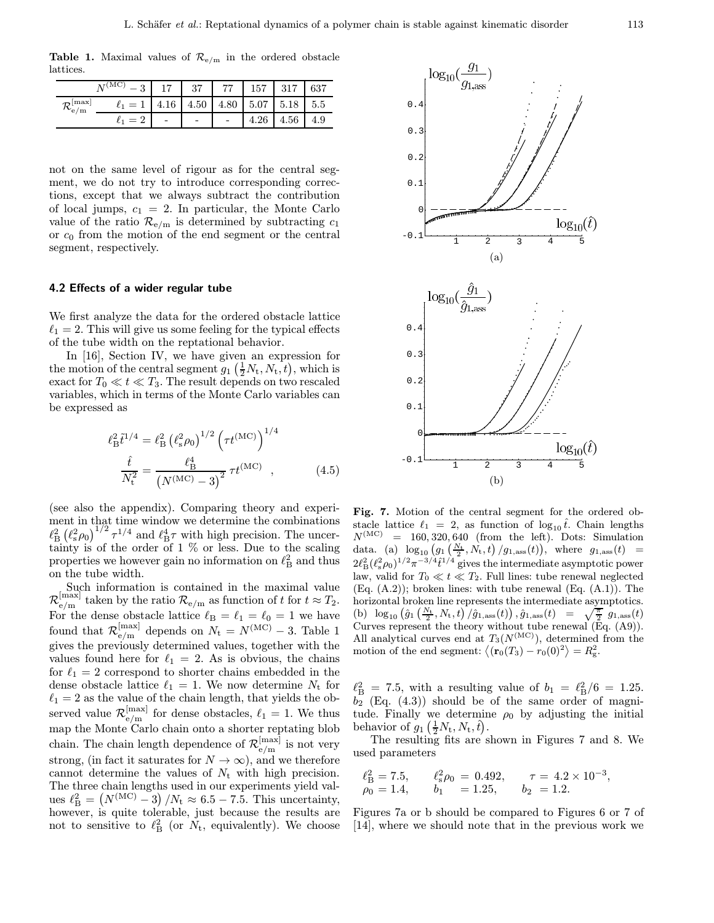**Table 1.** Maximal values of  $\mathcal{R}_{e/m}$  in the ordered obstacle lattices.

|                             | MC)<br>$\Omega$<br>ಀ     | 1 <sub>7</sub>    | -37               | חח                       | 157  | 217      | 637 |
|-----------------------------|--------------------------|-------------------|-------------------|--------------------------|------|----------|-----|
| $\mathbf{D}$ max<br>"e<br>m | $=$                      | 16                | 4.50              | 4.80                     | 5.07 | 5.18     | 5.5 |
|                             | $\overline{\phantom{0}}$ | $\qquad \qquad -$ | $\qquad \qquad -$ | $\overline{\phantom{0}}$ | 4.26 | $4.56\,$ | 4.9 |

not on the same level of rigour as for the central segment, we do not try to introduce corresponding corrections, except that we always subtract the contribution of local jumps,  $c_1 = 2$ . In particular, the Monte Carlo value of the ratio  $\mathcal{R}_{e/m}$  is determined by subtracting  $c_1$ or  $c_0$  from the motion of the end segment or the central segment, respectively.

### 4.2 Effects of a wider regular tube

We first analyze the data for the ordered obstacle lattice  $\ell_1 = 2$ . This will give us some feeling for the typical effects of the tube width on the reptational behavior.

In [16], Section IV, we have given an expression for the motion of the central segment  $g_1\left(\frac{1}{2}N_t, N_t, t\right)$ , which is exact for  $T_0 \ll t \ll T_3$ . The result depends on two rescaled variables, which in terms of the Monte Carlo variables can be expressed as

$$
\ell_{\rm B}^2 \tilde{t}^{1/4} = \ell_{\rm B}^2 \left(\ell_{\rm s}^2 \rho_0\right)^{1/2} \left(\tau t^{\rm (MC)}\right)^{1/4}
$$

$$
\frac{\hat{t}}{N_{\rm t}^2} = \frac{\ell_{\rm B}^4}{\left(N^{\rm (MC)} - 3\right)^2} \tau t^{\rm (MC)} \quad , \tag{4.5}
$$

(see also the appendix). Comparing theory and experiment in that time window we determine the combinations  $\ell_{\rm B}^2$   $(\ell_{\rm s}^2 \rho_0)^{1/2} \tau^{1/4}$  and  $\ell_{\rm B}^4 \tau$  with high precision. The uncertainty is of the order of 1 % or less. Due to the scaling properties we however gain no information on  $\ell_B^2$  and thus on the tube width.

Such information is contained in the maximal value  $\mathcal{R}^{[\text{max}]}_{e/m}$  taken by the ratio  $\mathcal{R}_{e/m}$  as function of t for  $t \approx T_2$ . For the dense obstacle lattice  $\ell_{\text{B}} = \ell_1 = \ell_0 = 1$  we have found that  $\mathcal{R}_{e/m}^{[max]}$  depends on  $N_t = N^{(MC)} - 3$ . Table 1 gives the previously determined values, together with the values found here for  $\ell_1 = 2$ . As is obvious, the chains for  $\ell_1 = 2$  correspond to shorter chains embedded in the dense obstacle lattice  $\ell_1 = 1$ . We now determine  $N_t$  for  $\ell_1 = 2$  as the value of the chain length, that yields the observed value  $\mathcal{R}_{e/m}^{[max]}$  for dense obstacles,  $\ell_1 = 1$ . We thus map the Monte Carlo chain onto a shorter reptating blob chain. The chain length dependence of  $\mathcal{R}_{e/m}^{[\text{max}]}$  is not very strong, (in fact it saturates for  $N \to \infty$ ), and we therefore cannot determine the values of  $N_t$  with high precision. The three chain lengths used in our experiments yield values  $\ell_{\rm B}^2 = (N^{\rm (MC)} - 3)/N_{\rm t} \approx 6.5 - 7.5$ . This uncertainty, however, is quite tolerable, just because the results are not to sensitive to  $\ell_{\rm B}^2$  (or  $N_{\rm t}$ , equivalently). We choose



Fig. 7. Motion of the central segment for the ordered obstacle lattice  $\ell_1 = 2$ , as function of  $\log_{10} \hat{t}$ . Chain lengths  $N^{(\mathrm{MC})}$  = 160, 320, 640 (from the left). Dots: Simulation  $\text{data.} \text{ (a) } \log_{10} \left( g_1\left(\frac{N_\text{t}}{2}, N_\text{t}, t \right) / g_{1, \text{ass}}(t) \right), \text{ where } g_{1, \text{ass}}(t) =$  $2\ell_B^2(\ell_s^2\rho_0)^{1/2}\pi^{-3/4}\hat{t}^{1/4}$  gives the intermediate asymptotic power law, valid for  $T_0 \ll t \ll T_2$ . Full lines: tube renewal neglected (Eq. (A.2)); broken lines: with tube renewal (Eq. (A.1)). The horizontal broken line represents the intermediate asymptotics. (b)  $\log_{10} (\hat{g}_1(\frac{N_{\rm t}}{2}, N_{\rm t}, t) / \hat{g}_{1,ass}(t))$ ,  $\hat{g}_{1,ass}(t) = \sqrt{\frac{\pi}{2}} \hat{g}_{1,ass}(t)$ Curves represent the theory without tube renewal (Eq. (A9)). All analytical curves end at  $T_3(N^{(\text{MC})})$ , determined from the motion of the end segment:  $\langle (\mathbf{r}_0(T_3) - \mathbf{r}_0(0)^2) \rangle = R_g^2$ .

 $\ell_{\rm B}^2 = 7.5$ , with a resulting value of  $b_1 = \ell_{\rm B}^2/6 = 1.25$ .  $b_2$  (Eq. (4.3)) should be of the same order of magnitude. Finally we determine  $\rho_0$  by adjusting the initial behavior of  $g_1\left(\frac{1}{2}N_t, N_t, \hat{t}\right)$ .

The resulting fits are shown in Figures 7 and 8. We used parameters

$$
\begin{array}{ll}\n\ell_{\rm B}^2 = 7.5, & \ell_{\rm s}^2 \rho_0 = 0.492, & \tau = 4.2 \times 10^{-3}, \\
\rho_0 = 1.4, & b_1 = 1.25, & b_2 = 1.2.\n\end{array}
$$

Figures 7a or b should be compared to Figures 6 or 7 of [14], where we should note that in the previous work we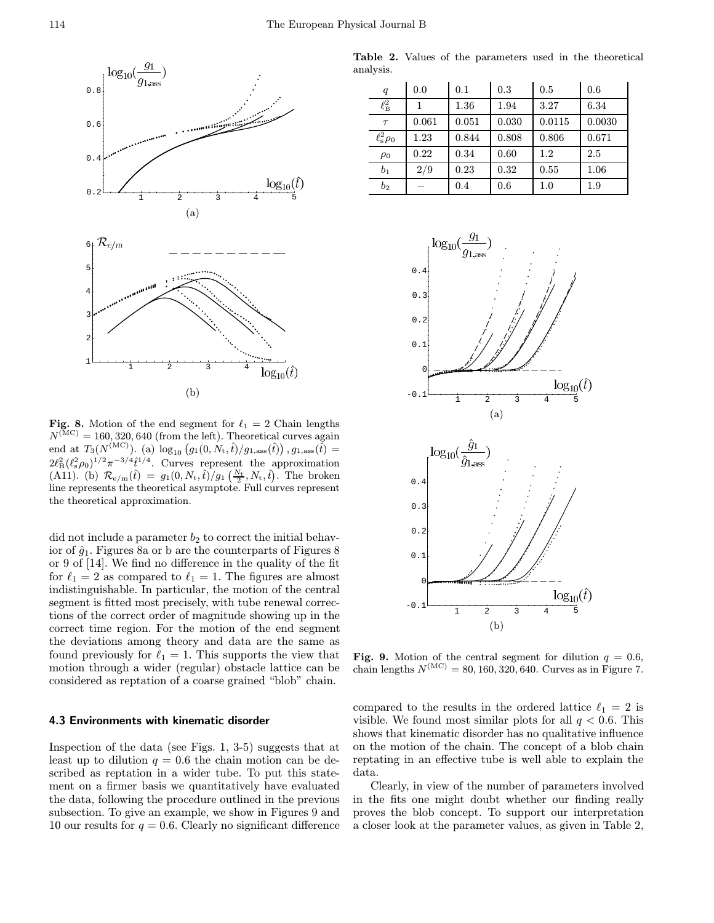

Fig. 8. Motion of the end segment for  $\ell_1 = 2$  Chain lengths  $N^{(\text{MC})} = 160, 320, 640$  (from the left). Theoretical curves again  ${\rm end\,\; at}\,\; T_3(N^{(\rm MC)}) . \,\, \rm{(a)}\,\, \log_{10} \big( g_1(0, N_{\rm t}, \hat{t}) / g_{1,{\rm ass}}(\hat{t}) \big)\,, g_{1,{\rm ass}}(\tilde{t}) =$  $2\ell_{\rm B}^2(\ell_{\rm s}^2\rho_0)^{1/2}\pi^{-3/4}\hat{t}^{1/4}$ . Curves represent the approximation (A11). (b)  $\mathcal{R}_{e/m}(\hat{t}) = g_1(0, N_t, \hat{t})/g_1(\frac{N_t}{2}, N_t, \hat{t})$ . The broken line represents the theoretical asymptote. Full curves represent the theoretical approximation.

did not include a parameter  $b_2$  to correct the initial behavior of  $\hat{g}_1$ . Figures 8a or b are the counterparts of Figures 8 or 9 of [14]. We find no difference in the quality of the fit for  $\ell_1 = 2$  as compared to  $\ell_1 = 1$ . The figures are almost indistinguishable. In particular, the motion of the central segment is fitted most precisely, with tube renewal corrections of the correct order of magnitude showing up in the correct time region. For the motion of the end segment the deviations among theory and data are the same as found previously for  $\ell_1 = 1$ . This supports the view that motion through a wider (regular) obstacle lattice can be considered as reptation of a coarse grained "blob" chain.

#### 4.3 Environments with kinematic disorder

Inspection of the data (see Figs. 1, 3-5) suggests that at least up to dilution  $q = 0.6$  the chain motion can be described as reptation in a wider tube. To put this statement on a firmer basis we quantitatively have evaluated the data, following the procedure outlined in the previous subsection. To give an example, we show in Figures 9 and 10 our results for  $q = 0.6$ . Clearly no significant difference

Table 2. Values of the parameters used in the theoretical analysis.

| q                       | 0.0   | 0.1   | 0.3   | 0.5    | 0.6    |
|-------------------------|-------|-------|-------|--------|--------|
| $\ell_{\rm B}^2$        |       | 1.36  | 1.94  | 3.27   | 6.34   |
| $\tau$                  | 0.061 | 0.051 | 0.030 | 0.0115 | 0.0030 |
| $\ell_{\rm s}^2 \rho_0$ | 1.23  | 0.844 | 0.808 | 0.806  | 0.671  |
| $\rho_0$                | 0.22  | 0.34  | 0.60  | 1.2    | 2.5    |
| $b_1$                   | 2/9   | 0.23  | 0.32  | 0.55   | 1.06   |
| $b_2$                   |       | 0.4   | 0.6   | 1.0    | 1.9    |



Fig. 9. Motion of the central segment for dilution  $q = 0.6$ , chain lengths  $N^{(\text{MC})} = 80, 160, 320, 640$ . Curves as in Figure 7.

compared to the results in the ordered lattice  $\ell_1 = 2$  is visible. We found most similar plots for all  $q < 0.6$ . This shows that kinematic disorder has no qualitative influence on the motion of the chain. The concept of a blob chain reptating in an effective tube is well able to explain the data.

Clearly, in view of the number of parameters involved in the fits one might doubt whether our finding really proves the blob concept. To support our interpretation a closer look at the parameter values, as given in Table 2,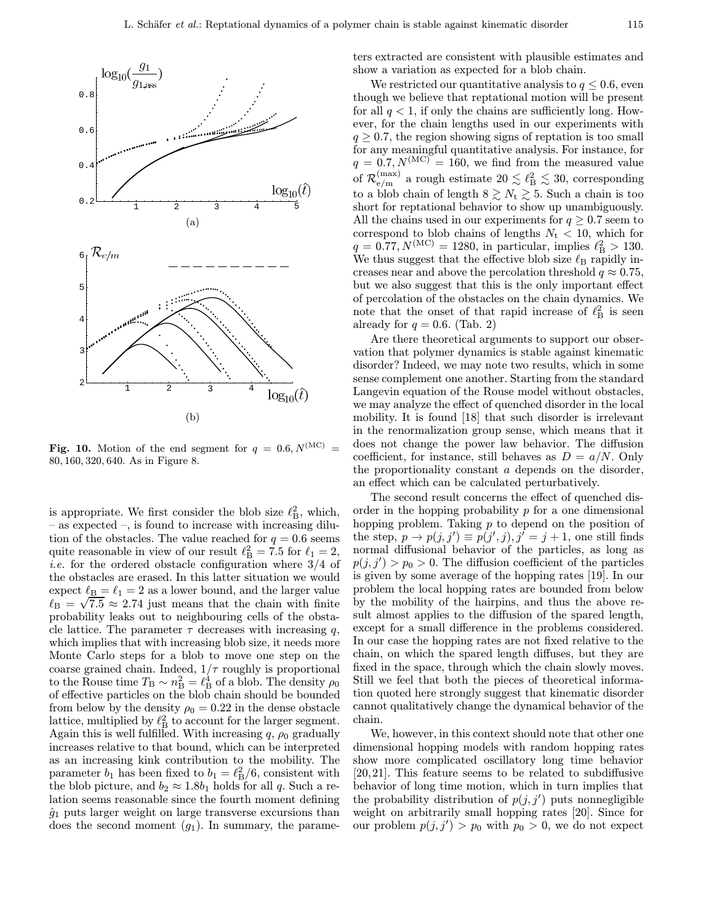

Fig. 10. Motion of the end segment for  $q = 0.6, N^{(\text{MC})}$ 80, 160, 320, 640. As in Figure 8.

is appropriate. We first consider the blob size  $\ell_{\rm B}^2$ , which, – as expected –, is found to increase with increasing dilution of the obstacles. The value reached for  $q = 0.6$  seems quite reasonable in view of our result  $\ell_{\rm B}^2 = 7.5$  for  $\ell_1 = 2$ , *i.e.* for the ordered obstacle configuration where  $3/4$  of the obstacles are erased. In this latter situation we would expect  $\ell_{\text{B}} = \ell_1 = 2$  as a lower bound, and the larger value expect  $\ell_{\rm B} = \ell_1 = 2$  as a lower bound, and the larger value  $\ell_{\rm B} = \sqrt{7.5} \approx 2.74$  just means that the chain with finite probability leaks out to neighbouring cells of the obstacle lattice. The parameter  $\tau$  decreases with increasing q, which implies that with increasing blob size, it needs more Monte Carlo steps for a blob to move one step on the coarse grained chain. Indeed,  $1/\tau$  roughly is proportional to the Rouse time  $T_B \sim n_B^2 = \ell_B^4$  of a blob. The density  $\rho_0$ of effective particles on the blob chain should be bounded from below by the density  $\rho_0 = 0.22$  in the dense obstacle lattice, multiplied by  $\ell_B^2$  to account for the larger segment. Again this is well fulfilled. With increasing  $q, \rho_0$  gradually increases relative to that bound, which can be interpreted as an increasing kink contribution to the mobility. The parameter  $b_1$  has been fixed to  $b_1 = \ell_{\rm B}^2/6$ , consistent with the blob picture, and  $b_2 \approx 1.8b_1$  holds for all q. Such a relation seems reasonable since the fourth moment defining  $\hat{g}_1$  puts larger weight on large transverse excursions than does the second moment  $(g_1)$ . In summary, the parameters extracted are consistent with plausible estimates and show a variation as expected for a blob chain.

We restricted our quantitative analysis to  $q \leq 0.6$ , even though we believe that reptational motion will be present for all  $q < 1$ , if only the chains are sufficiently long. However, for the chain lengths used in our experiments with  $q \geq 0.7$ , the region showing signs of reptation is too small for any meaningful quantitative analysis. For instance, for  $q = 0.7, N<sup>(MC)</sup> = 160$ , we find from the measured value of  $\mathcal{R}^{(\max)}_{e/m}$  a rough estimate  $20 \lesssim \ell_B^2 \lesssim 30$ , corresponding to a blob chain of length  $8 \geq N_t \geq 5$ . Such a chain is too short for reptational behavior to show up unambiguously. All the chains used in our experiments for  $q \geq 0.7$  seem to correspond to blob chains of lengths  $N_t < 10$ , which for  $q = 0.77, N^{\text{(MC)}} = 1280$ , in particular, implies  $\ell_{\text{B}}^2 > 130$ . We thus suggest that the effective blob size  $\ell_{\text{B}}$  rapidly increases near and above the percolation threshold  $q \approx 0.75$ , but we also suggest that this is the only important effect of percolation of the obstacles on the chain dynamics. We note that the onset of that rapid increase of  $\ell_B^2$  is seen already for  $q = 0.6$ . (Tab. 2)

Are there theoretical arguments to support our observation that polymer dynamics is stable against kinematic disorder? Indeed, we may note two results, which in some sense complement one another. Starting from the standard Langevin equation of the Rouse model without obstacles, we may analyze the effect of quenched disorder in the local mobility. It is found [18] that such disorder is irrelevant in the renormalization group sense, which means that it does not change the power law behavior. The diffusion coefficient, for instance, still behaves as  $D = a/N$ . Only the proportionality constant a depends on the disorder, an effect which can be calculated perturbatively.

The second result concerns the effect of quenched disorder in the hopping probability  $p$  for a one dimensional hopping problem. Taking p to depend on the position of the step,  $p \to p(j, j') \equiv p(j', j), j' = j + 1$ , one still finds normal diffusional behavior of the particles, as long as  $p(j, j') > p_0 > 0$ . The diffusion coefficient of the particles is given by some average of the hopping rates [19]. In our problem the local hopping rates are bounded from below by the mobility of the hairpins, and thus the above result almost applies to the diffusion of the spared length, except for a small difference in the problems considered. In our case the hopping rates are not fixed relative to the chain, on which the spared length diffuses, but they are fixed in the space, through which the chain slowly moves. Still we feel that both the pieces of theoretical information quoted here strongly suggest that kinematic disorder cannot qualitatively change the dynamical behavior of the chain.

We, however, in this context should note that other one dimensional hopping models with random hopping rates show more complicated oscillatory long time behavior [20,21]. This feature seems to be related to subdiffusive behavior of long time motion, which in turn implies that the probability distribution of  $p(j, j')$  puts nonnegligible weight on arbitrarily small hopping rates [20]. Since for our problem  $p(j, j') > p_0$  with  $p_0 > 0$ , we do not expect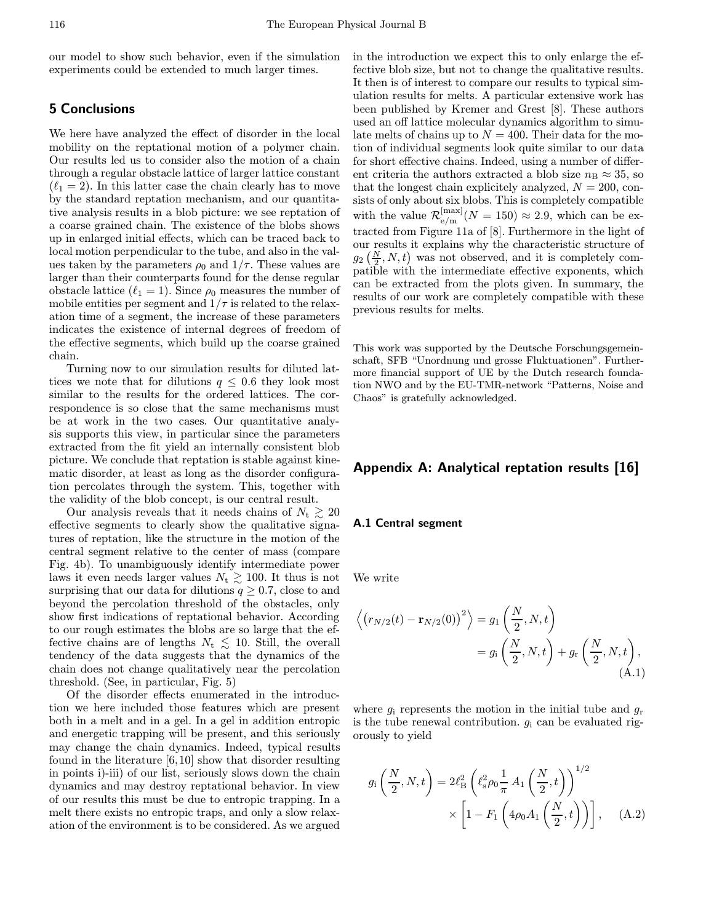our model to show such behavior, even if the simulation experiments could be extended to much larger times.

# 5 Conclusions

We here have analyzed the effect of disorder in the local mobility on the reptational motion of a polymer chain. Our results led us to consider also the motion of a chain through a regular obstacle lattice of larger lattice constant  $(\ell_1 = 2)$ . In this latter case the chain clearly has to move by the standard reptation mechanism, and our quantitative analysis results in a blob picture: we see reptation of a coarse grained chain. The existence of the blobs shows up in enlarged initial effects, which can be traced back to local motion perpendicular to the tube, and also in the values taken by the parameters  $\rho_0$  and  $1/\tau$ . These values are larger than their counterparts found for the dense regular obstacle lattice  $(\ell_1 = 1)$ . Since  $\rho_0$  measures the number of mobile entities per segment and  $1/\tau$  is related to the relaxation time of a segment, the increase of these parameters indicates the existence of internal degrees of freedom of the effective segments, which build up the coarse grained chain.

Turning now to our simulation results for diluted lattices we note that for dilutions  $q \leq 0.6$  they look most similar to the results for the ordered lattices. The correspondence is so close that the same mechanisms must be at work in the two cases. Our quantitative analysis supports this view, in particular since the parameters extracted from the fit yield an internally consistent blob picture. We conclude that reptation is stable against kinematic disorder, at least as long as the disorder configuration percolates through the system. This, together with the validity of the blob concept, is our central result.

Our analysis reveals that it needs chains of  $N_t \geq 20$ effective segments to clearly show the qualitative signatures of reptation, like the structure in the motion of the central segment relative to the center of mass (compare Fig. 4b). To unambiguously identify intermediate power laws it even needs larger values  $N_t \gtrsim 100$ . It thus is not surprising that our data for dilutions  $q \geq 0.7$ , close to and beyond the percolation threshold of the obstacles, only show first indications of reptational behavior. According to our rough estimates the blobs are so large that the effective chains are of lengths  $N_t \leq 10$ . Still, the overall tendency of the data suggests that the dynamics of the chain does not change qualitatively near the percolation threshold. (See, in particular, Fig. 5)

Of the disorder effects enumerated in the introduction we here included those features which are present both in a melt and in a gel. In a gel in addition entropic and energetic trapping will be present, and this seriously may change the chain dynamics. Indeed, typical results found in the literature [6,10] show that disorder resulting in points i)-iii) of our list, seriously slows down the chain dynamics and may destroy reptational behavior. In view of our results this must be due to entropic trapping. In a melt there exists no entropic traps, and only a slow relaxation of the environment is to be considered. As we argued

in the introduction we expect this to only enlarge the effective blob size, but not to change the qualitative results. It then is of interest to compare our results to typical simulation results for melts. A particular extensive work has been published by Kremer and Grest [8]. These authors used an off lattice molecular dynamics algorithm to simulate melts of chains up to  $N = 400$ . Their data for the motion of individual segments look quite similar to our data for short effective chains. Indeed, using a number of different criteria the authors extracted a blob size  $n<sub>B</sub> \approx 35$ , so that the longest chain explicitely analyzed,  $N = 200$ , consists of only about six blobs. This is completely compatible with the value  $\mathcal{R}_{e/m}^{[max]}(N=150) \approx 2.9$ , which can be extracted from Figure 11a of [8]. Furthermore in the light of our results it explains why the characteristic structure of  $g_2\left(\frac{N}{2},N,t\right)$  was not observed, and it is completely compatible with the intermediate effective exponents, which can be extracted from the plots given. In summary, the results of our work are completely compatible with these previous results for melts.

This work was supported by the Deutsche Forschungsgemeinschaft, SFB "Unordnung und grosse Fluktuationen". Furthermore financial support of UE by the Dutch research foundation NWO and by the EU-TMR-network "Patterns, Noise and Chaos" is gratefully acknowledged.

## Appendix A: Analytical reptation results [16]

#### A.1 Central segment

We write

$$
\left\langle \left( r_{N/2}(t) - \mathbf{r}_{N/2}(0) \right)^2 \right\rangle = g_1 \left( \frac{N}{2}, N, t \right)
$$

$$
= g_1 \left( \frac{N}{2}, N, t \right) + g_r \left( \frac{N}{2}, N, t \right), \tag{A.1}
$$

where  $g_i$  represents the motion in the initial tube and  $g_r$ is the tube renewal contribution.  $g_i$  can be evaluated rigorously to yield

$$
g_{i}\left(\frac{N}{2},N,t\right) = 2\ell_{\rm B}^{2}\left(\ell_{\rm s}^{2}\rho_{0}\frac{1}{\pi}A_{1}\left(\frac{N}{2},t\right)\right)^{1/2} \times \left[1 - F_{1}\left(4\rho_{0}A_{1}\left(\frac{N}{2},t\right)\right)\right], \quad (A.2)
$$